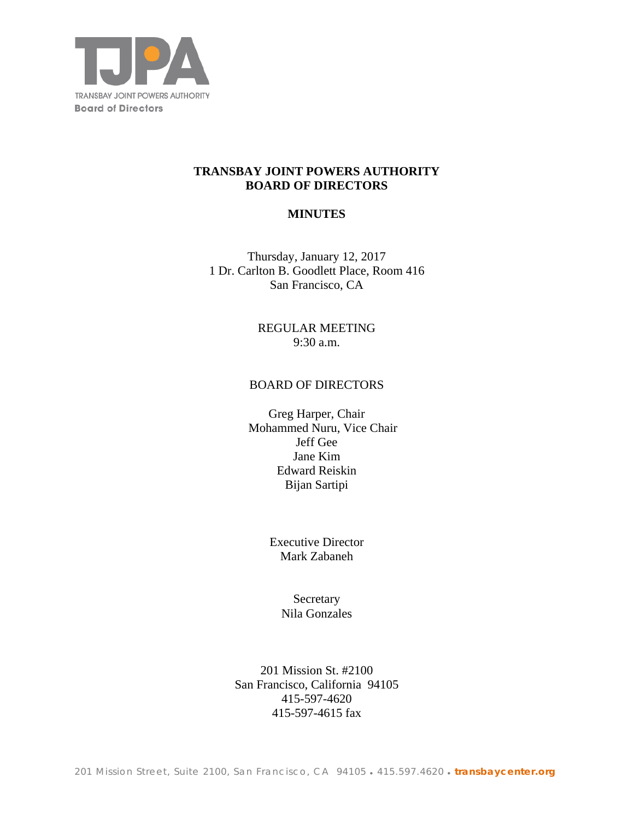

## **TRANSBAY JOINT POWERS AUTHORITY BOARD OF DIRECTORS**

## **MINUTES**

Thursday, January 12, 2017 1 Dr. Carlton B. Goodlett Place, Room 416 San Francisco, CA

> REGULAR MEETING 9:30 a.m.

### BOARD OF DIRECTORS

Greg Harper, Chair Mohammed Nuru, Vice Chair Jeff Gee Jane Kim Edward Reiskin Bijan Sartipi

> Executive Director Mark Zabaneh

> > **Secretary** Nila Gonzales

201 Mission St. #2100 San Francisco, California 94105 415-597-4620 415-597-4615 fax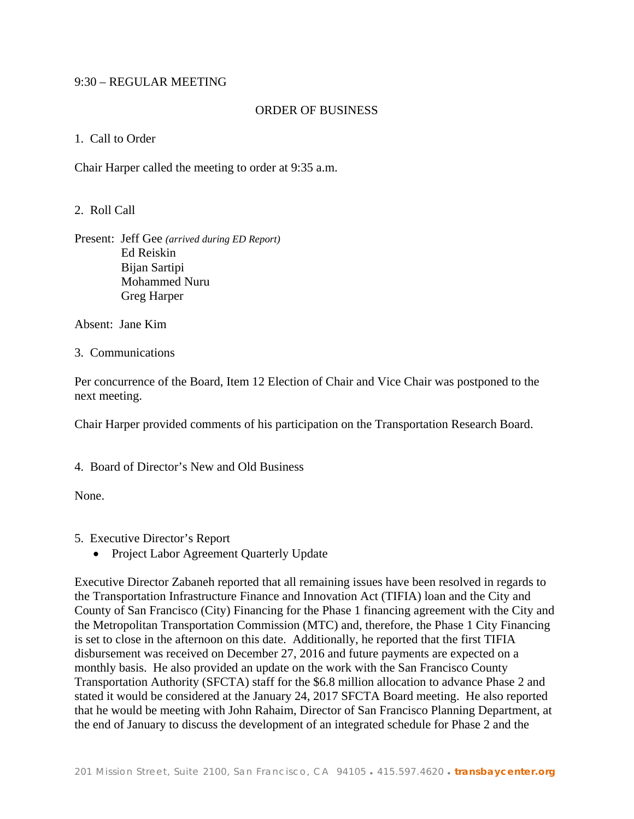## 9:30 – REGULAR MEETING

### ORDER OF BUSINESS

### 1. Call to Order

Chair Harper called the meeting to order at 9:35 a.m.

2. Roll Call

Present: Jeff Gee *(arrived during ED Report)* Ed Reiskin Bijan Sartipi Mohammed Nuru Greg Harper

Absent: Jane Kim

3. Communications

Per concurrence of the Board, Item 12 Election of Chair and Vice Chair was postponed to the next meeting.

Chair Harper provided comments of his participation on the Transportation Research Board.

4. Board of Director's New and Old Business

None.

- 5. Executive Director's Report
	- Project Labor Agreement Quarterly Update

Executive Director Zabaneh reported that all remaining issues have been resolved in regards to the Transportation Infrastructure Finance and Innovation Act (TIFIA) loan and the City and County of San Francisco (City) Financing for the Phase 1 financing agreement with the City and the Metropolitan Transportation Commission (MTC) and, therefore, the Phase 1 City Financing is set to close in the afternoon on this date. Additionally, he reported that the first TIFIA disbursement was received on December 27, 2016 and future payments are expected on a monthly basis. He also provided an update on the work with the San Francisco County Transportation Authority (SFCTA) staff for the \$6.8 million allocation to advance Phase 2 and stated it would be considered at the January 24, 2017 SFCTA Board meeting. He also reported that he would be meeting with John Rahaim, Director of San Francisco Planning Department, at the end of January to discuss the development of an integrated schedule for Phase 2 and the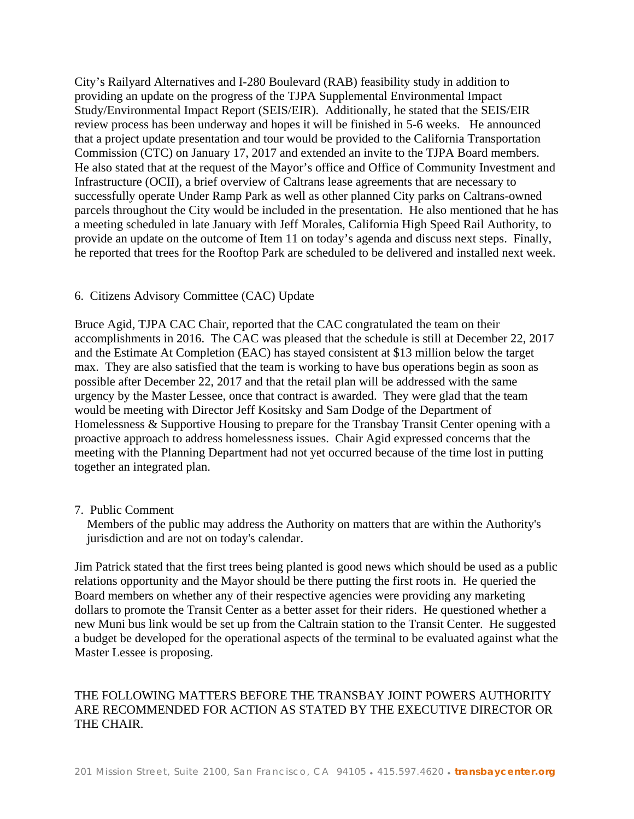City's Railyard Alternatives and I-280 Boulevard (RAB) feasibility study in addition to providing an update on the progress of the TJPA Supplemental Environmental Impact Study/Environmental Impact Report (SEIS/EIR). Additionally, he stated that the SEIS/EIR review process has been underway and hopes it will be finished in 5-6 weeks. He announced that a project update presentation and tour would be provided to the California Transportation Commission (CTC) on January 17, 2017 and extended an invite to the TJPA Board members. He also stated that at the request of the Mayor's office and Office of Community Investment and Infrastructure (OCII), a brief overview of Caltrans lease agreements that are necessary to successfully operate Under Ramp Park as well as other planned City parks on Caltrans-owned parcels throughout the City would be included in the presentation. He also mentioned that he has a meeting scheduled in late January with Jeff Morales, California High Speed Rail Authority, to provide an update on the outcome of Item 11 on today's agenda and discuss next steps. Finally, he reported that trees for the Rooftop Park are scheduled to be delivered and installed next week.

### 6. Citizens Advisory Committee (CAC) Update

Bruce Agid, TJPA CAC Chair, reported that the CAC congratulated the team on their accomplishments in 2016. The CAC was pleased that the schedule is still at December 22, 2017 and the Estimate At Completion (EAC) has stayed consistent at \$13 million below the target max. They are also satisfied that the team is working to have bus operations begin as soon as possible after December 22, 2017 and that the retail plan will be addressed with the same urgency by the Master Lessee, once that contract is awarded. They were glad that the team would be meeting with Director Jeff Kositsky and Sam Dodge of the Department of Homelessness & Supportive Housing to prepare for the Transbay Transit Center opening with a proactive approach to address homelessness issues. Chair Agid expressed concerns that the meeting with the Planning Department had not yet occurred because of the time lost in putting together an integrated plan.

#### 7. Public Comment

 Members of the public may address the Authority on matters that are within the Authority's jurisdiction and are not on today's calendar.

Jim Patrick stated that the first trees being planted is good news which should be used as a public relations opportunity and the Mayor should be there putting the first roots in. He queried the Board members on whether any of their respective agencies were providing any marketing dollars to promote the Transit Center as a better asset for their riders. He questioned whether a new Muni bus link would be set up from the Caltrain station to the Transit Center. He suggested a budget be developed for the operational aspects of the terminal to be evaluated against what the Master Lessee is proposing.

# THE FOLLOWING MATTERS BEFORE THE TRANSBAY JOINT POWERS AUTHORITY ARE RECOMMENDED FOR ACTION AS STATED BY THE EXECUTIVE DIRECTOR OR THE CHAIR.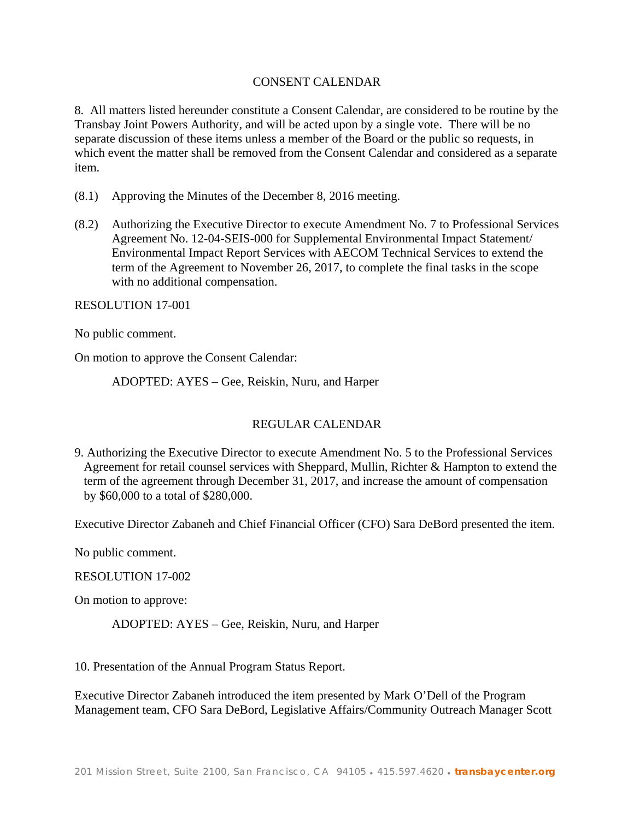## CONSENT CALENDAR

8. All matters listed hereunder constitute a Consent Calendar, are considered to be routine by the Transbay Joint Powers Authority, and will be acted upon by a single vote. There will be no separate discussion of these items unless a member of the Board or the public so requests, in which event the matter shall be removed from the Consent Calendar and considered as a separate item.

- (8.1) Approving the Minutes of the December 8, 2016 meeting.
- (8.2) Authorizing the Executive Director to execute Amendment No. 7 to Professional Services Agreement No. 12-04-SEIS-000 for Supplemental Environmental Impact Statement/ Environmental Impact Report Services with AECOM Technical Services to extend the term of the Agreement to November 26, 2017, to complete the final tasks in the scope with no additional compensation.

RESOLUTION 17-001

No public comment.

On motion to approve the Consent Calendar:

ADOPTED: AYES – Gee, Reiskin, Nuru, and Harper

## REGULAR CALENDAR

9. Authorizing the Executive Director to execute Amendment No. 5 to the Professional Services Agreement for retail counsel services with Sheppard, Mullin, Richter & Hampton to extend the term of the agreement through December 31, 2017, and increase the amount of compensation by \$60,000 to a total of \$280,000.

Executive Director Zabaneh and Chief Financial Officer (CFO) Sara DeBord presented the item.

No public comment.

#### RESOLUTION 17-002

On motion to approve:

ADOPTED: AYES – Gee, Reiskin, Nuru, and Harper

10. Presentation of the Annual Program Status Report.

Executive Director Zabaneh introduced the item presented by Mark O'Dell of the Program Management team, CFO Sara DeBord, Legislative Affairs/Community Outreach Manager Scott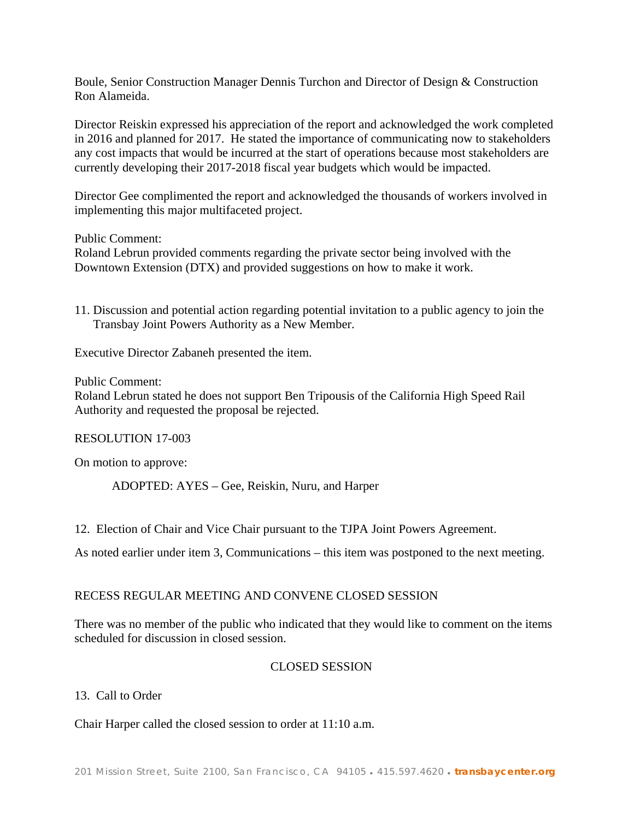Boule, Senior Construction Manager Dennis Turchon and Director of Design & Construction Ron Alameida.

Director Reiskin expressed his appreciation of the report and acknowledged the work completed in 2016 and planned for 2017. He stated the importance of communicating now to stakeholders any cost impacts that would be incurred at the start of operations because most stakeholders are currently developing their 2017-2018 fiscal year budgets which would be impacted.

Director Gee complimented the report and acknowledged the thousands of workers involved in implementing this major multifaceted project.

Public Comment:

Roland Lebrun provided comments regarding the private sector being involved with the Downtown Extension (DTX) and provided suggestions on how to make it work.

11. Discussion and potential action regarding potential invitation to a public agency to join the Transbay Joint Powers Authority as a New Member.

Executive Director Zabaneh presented the item.

Public Comment:

Roland Lebrun stated he does not support Ben Tripousis of the California High Speed Rail Authority and requested the proposal be rejected.

RESOLUTION 17-003

On motion to approve:

ADOPTED: AYES – Gee, Reiskin, Nuru, and Harper

12. Election of Chair and Vice Chair pursuant to the TJPA Joint Powers Agreement.

As noted earlier under item 3, Communications – this item was postponed to the next meeting.

#### RECESS REGULAR MEETING AND CONVENE CLOSED SESSION

There was no member of the public who indicated that they would like to comment on the items scheduled for discussion in closed session.

### CLOSED SESSION

13. Call to Order

Chair Harper called the closed session to order at 11:10 a.m.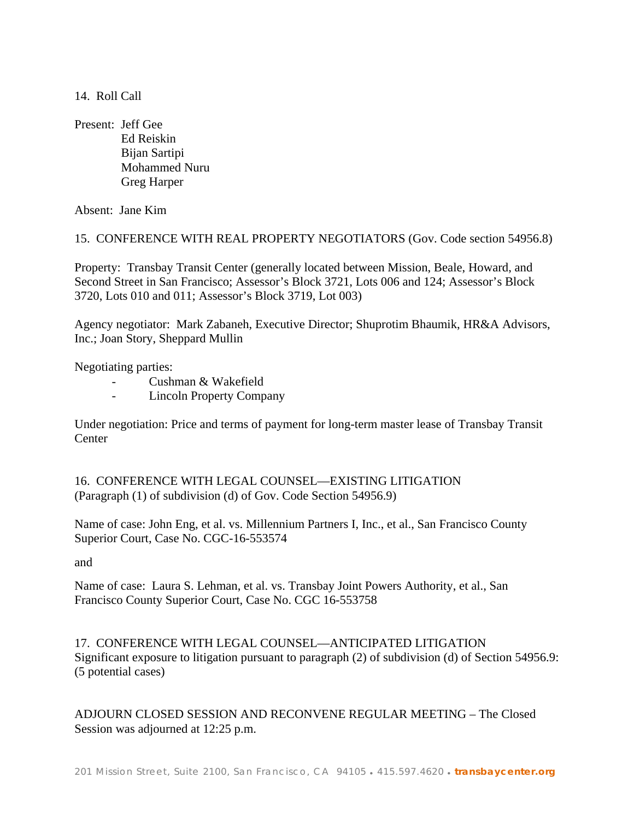14. Roll Call

Present: Jeff Gee Ed Reiskin Bijan Sartipi Mohammed Nuru Greg Harper

Absent: Jane Kim

15. CONFERENCE WITH REAL PROPERTY NEGOTIATORS (Gov. Code section 54956.8)

Property: Transbay Transit Center (generally located between Mission, Beale, Howard, and Second Street in San Francisco; Assessor's Block 3721, Lots 006 and 124; Assessor's Block 3720, Lots 010 and 011; Assessor's Block 3719, Lot 003)

Agency negotiator: Mark Zabaneh, Executive Director; Shuprotim Bhaumik, HR&A Advisors, Inc.; Joan Story, Sheppard Mullin

Negotiating parties:

- Cushman & Wakefield
- Lincoln Property Company

Under negotiation: Price and terms of payment for long-term master lease of Transbay Transit **Center** 

16. CONFERENCE WITH LEGAL COUNSEL—EXISTING LITIGATION (Paragraph (1) of subdivision (d) of Gov. Code Section 54956.9)

Name of case: John Eng, et al. vs. Millennium Partners I, Inc., et al., San Francisco County Superior Court, Case No. CGC-16-553574

and

Name of case: Laura S. Lehman, et al. vs. Transbay Joint Powers Authority, et al., San Francisco County Superior Court, Case No. CGC 16-553758

17. CONFERENCE WITH LEGAL COUNSEL—ANTICIPATED LITIGATION Significant exposure to litigation pursuant to paragraph (2) of subdivision (d) of Section 54956.9: (5 potential cases)

ADJOURN CLOSED SESSION AND RECONVENE REGULAR MEETING – The Closed Session was adjourned at 12:25 p.m.